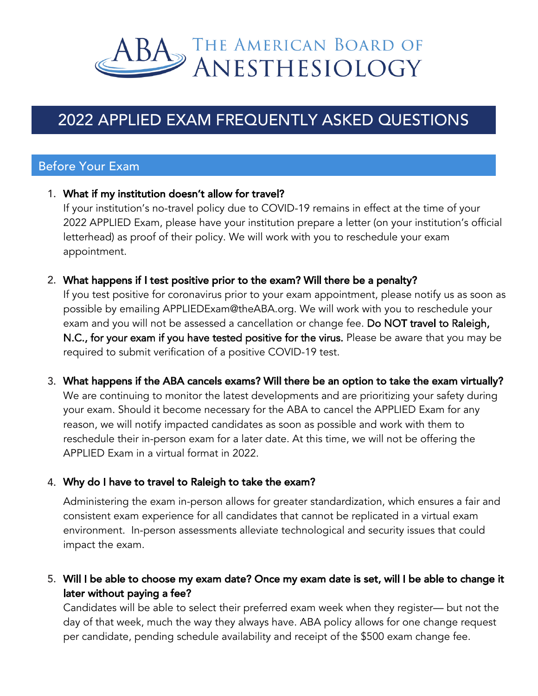

# 2022 APPLIED EXAM FREQUENTLY ASKED QUESTIONS

# Before Your Exam

#### 1. What if my institution doesn't allow for travel? 1.

If your institution's no-travel policy due to COVID-19 remains in effect at the time of your 2022 APPLIED Exam, please have your institution prepare a letter (on your institution's official letterhead) as proof of their policy. We will work with you to reschedule your exam appointment.

## 2. What happens if I test positive prior to the exam? Will there be a penalty? 2.

If you test positive for coronavirus prior to your exam appointment, please notify us as soon as possible by emailing APPLIEDExam@theABA.org. We will work with you to reschedule your exam and you will not be assessed a cancellation or change fee. Do NOT travel to Raleigh, N.C., for your exam if you have tested positive for the virus. Please be aware that you may be required to submit verification of a positive COVID-19 test.

## 3. What happens if the ABA cancels exams? Will there be an option to take the exam virtually? 3.

We are continuing to monitor the latest developments and are prioritizing your safety during your exam. Should it become necessary for the ABA to cancel the APPLIED Exam for any reason, we will notify impacted candidates as soon as possible and work with them to reschedule their in-person exam for a later date. At this time, we will not be offering the APPLIED Exam in a virtual format in 2022.

## 4. Why do I have to travel to Raleigh to take the exam? 4.

Administering the exam in-person allows for greater standardization, which ensures a fair and consistent exam experience for all candidates that cannot be replicated in a virtual exam environment. In-person assessments alleviate technological and security issues that could impact the exam.

## 5. Will I be able to choose my exam date? Once my exam date is set, will I be able to change it 5.later without paying a fee?

Candidates will be able to select their preferred exam week when they register— but not the day of that week, much the way they always have. ABA policy allows for one change request per candidate, pending schedule availability and receipt of the \$500 exam change fee.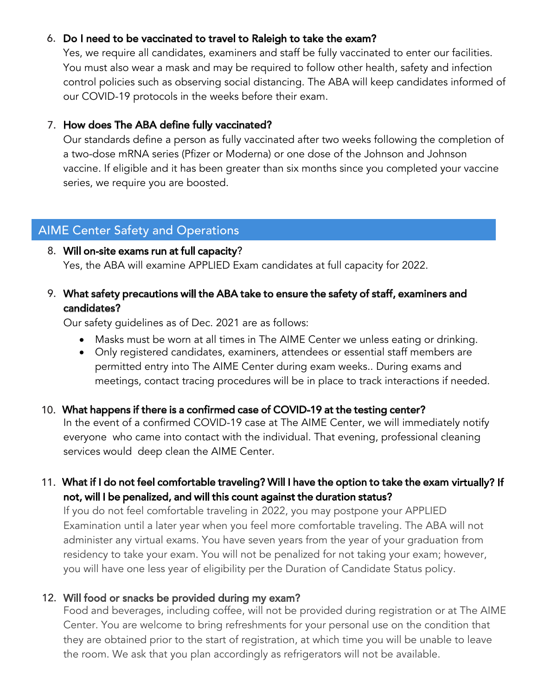## 6. Do I need to be vaccinated to travel to Raleigh to take the exam? 6.

Yes, we require all candidates, examiners and staff be fully vaccinated to enter our facilities. You must also wear a mask and may be required to follow other health, safety and infection control policies such as observing social distancing. The ABA will keep candidates informed of our COVID-19 protocols in the weeks before their exam.

## 7. How does The ABA define fully vaccinated? 7.

Our standards define a person as fully vaccinated after two weeks following the completion of a two-dose mRNA series (Pfizer or Moderna) or one dose of the Johnson and Johnson vaccine. If eligible and it has been greater than six months since you completed your vaccine series, we require you are boosted.

# AIME Center Safety and Operations

## 8. Will on-site exams run at full capacity?

Yes, the ABA will examine APPLIED Exam candidates at full capacity for 2022.

## ° What safety precautions will the ABA take to ensure the safety of staff, examiners and 9. candidates?

Our safety guidelines as of Dec. 2021 are as follows:

- Masks must be worn at all times in The AIME Center we unless eating or drinking.
- Only registered candidates, examiners, attendees or essential staff members are permitted entry into The AIME Center during exam weeks.. During exams and meetings, contact tracing procedures will be in place to track interactions if needed.

## 10. What happens if there is a confirmed case of COVID-19 at the testing center?

In the event of a confirmed COVID-19 case at The AIME Center, we will immediately notify everyone who came into contact with the individual. That evening, professional cleaning services would deep clean the AIME Center.

# ££° What if I do not feel comfortable traveling? Will I have the option to take the exam virtually? If 11. not, will I be penalized, and will this count against the duration status?

If you do not feel comfortable traveling in 2022, you may postpone your APPLIED Examination until a later year when you feel more comfortable traveling. The ABA will not administer any virtual exams. You have seven years from the year of your graduation from residency to take your exam. You will not be penalized for not taking your exam; however, you will have one less year of eligibility per the Duration of Candidate Status policy.

## 12. Will food or snacks be provided during my exam?

Food and beverages, including coffee, will not be provided during registration or at The AIME Center. You are welcome to bring refreshments for your personal use on the condition that they are obtained prior to the start of registration, at which time you will be unable to leave the room. We ask that you plan accordingly as refrigerators will not be available.